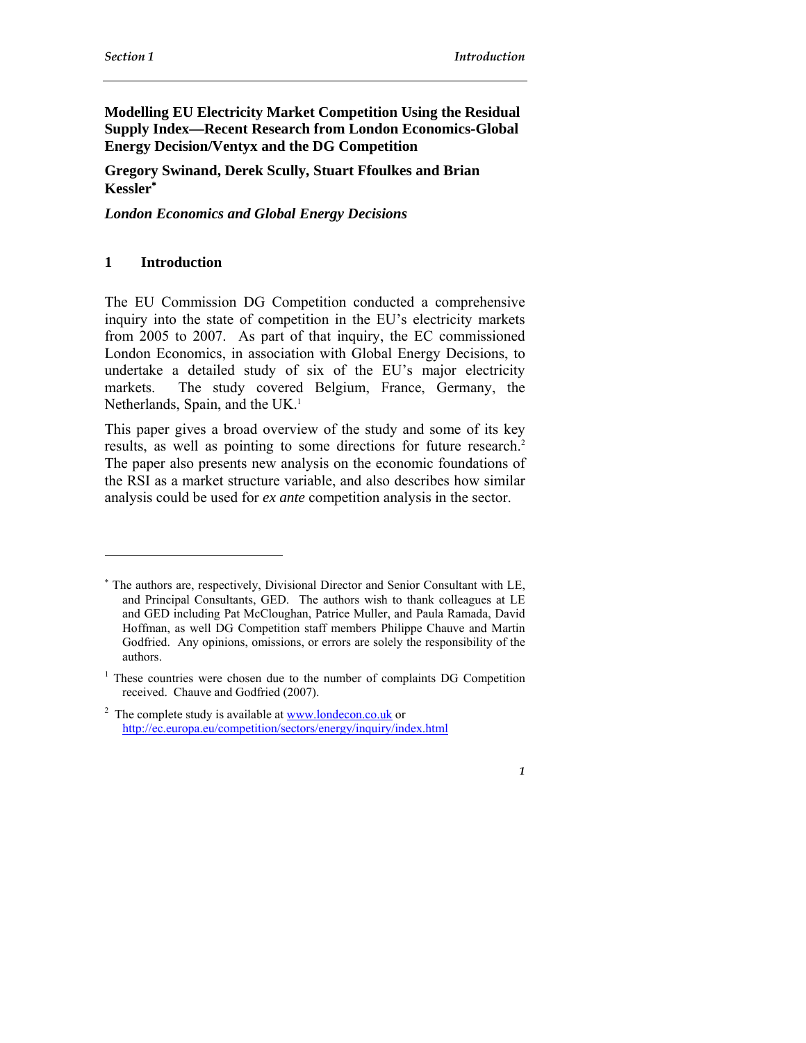# **Modelling EU Electricity Market Competition Using the Residual Supply Index—Recent Research from London Economics-Global Energy Decision/Ventyx and the DG Competition**

## **Gregory Swinand, Derek Scully, Stuart Ffoulkes and Brian Kessler**<sup>∗</sup>

*London Economics and Global Energy Decisions* 

### **1 Introduction**

 $\overline{a}$ 

The EU Commission DG Competition conducted a comprehensive inquiry into the state of competition in the EU's electricity markets from 2005 to 2007. As part of that inquiry, the EC commissioned London Economics, in association with Global Energy Decisions, to undertake a detailed study of six of the EU's major electricity markets. The study covered Belgium, France, Germany, the Netherlands, Spain, and the UK.<sup>1</sup>

This paper gives a broad overview of the study and some of its key results, as well as pointing to some directions for future research.<sup>2</sup> The paper also presents new analysis on the economic foundations of the RSI as a market structure variable, and also describes how similar analysis could be used for *ex ante* competition analysis in the sector.

<sup>∗</sup> The authors are, respectively, Divisional Director and Senior Consultant with LE, and Principal Consultants, GED. The authors wish to thank colleagues at LE and GED including Pat McCloughan, Patrice Muller, and Paula Ramada, David Hoffman, as well DG Competition staff members Philippe Chauve and Martin Godfried. Any opinions, omissions, or errors are solely the responsibility of the authors.

<sup>&</sup>lt;sup>1</sup> These countries were chosen due to the number of complaints DG Competition received. Chauve and Godfried (2007).

<sup>&</sup>lt;sup>2</sup> The complete study is available at <u>www.londecon.co.uk</u> or http://ec.europa.eu/competition/sectors/energy/inquiry/index.html

*<sup>1</sup>*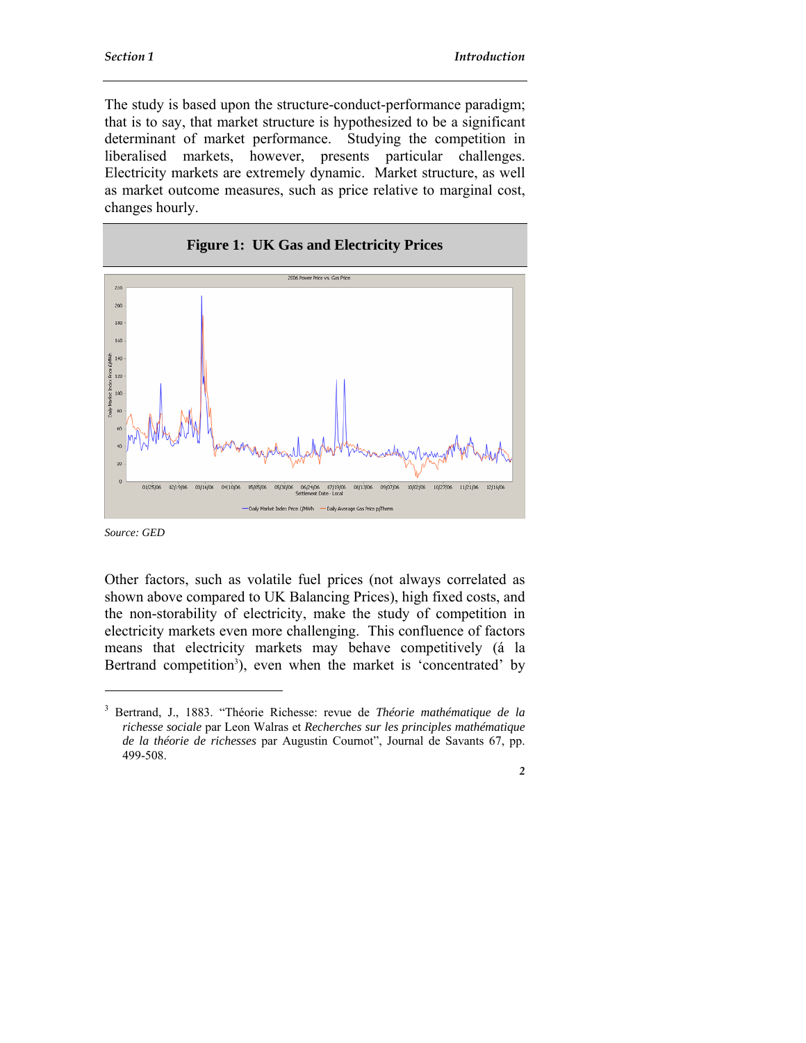The study is based upon the structure-conduct-performance paradigm; that is to say, that market structure is hypothesized to be a significant determinant of market performance. Studying the competition in liberalised markets, however, presents particular challenges. Electricity markets are extremely dynamic. Market structure, as well as market outcome measures, such as price relative to marginal cost, changes hourly.



*Source: GED* 

 $\overline{a}$ 

Other factors, such as volatile fuel prices (not always correlated as shown above compared to UK Balancing Prices), high fixed costs, and the non-storability of electricity, make the study of competition in electricity markets even more challenging. This confluence of factors means that electricity markets may behave competitively (á la Bertrand competition<sup>3</sup>), even when the market is 'concentrated' by

<sup>3</sup> Bertrand, J., 1883. "Théorie Richesse: revue de *Théorie mathématique de la richesse sociale* par Leon Walras et *Recherches sur les principles mathématique de la théorie de richesses* par Augustin Cournot", Journal de Savants 67, pp. 499-508.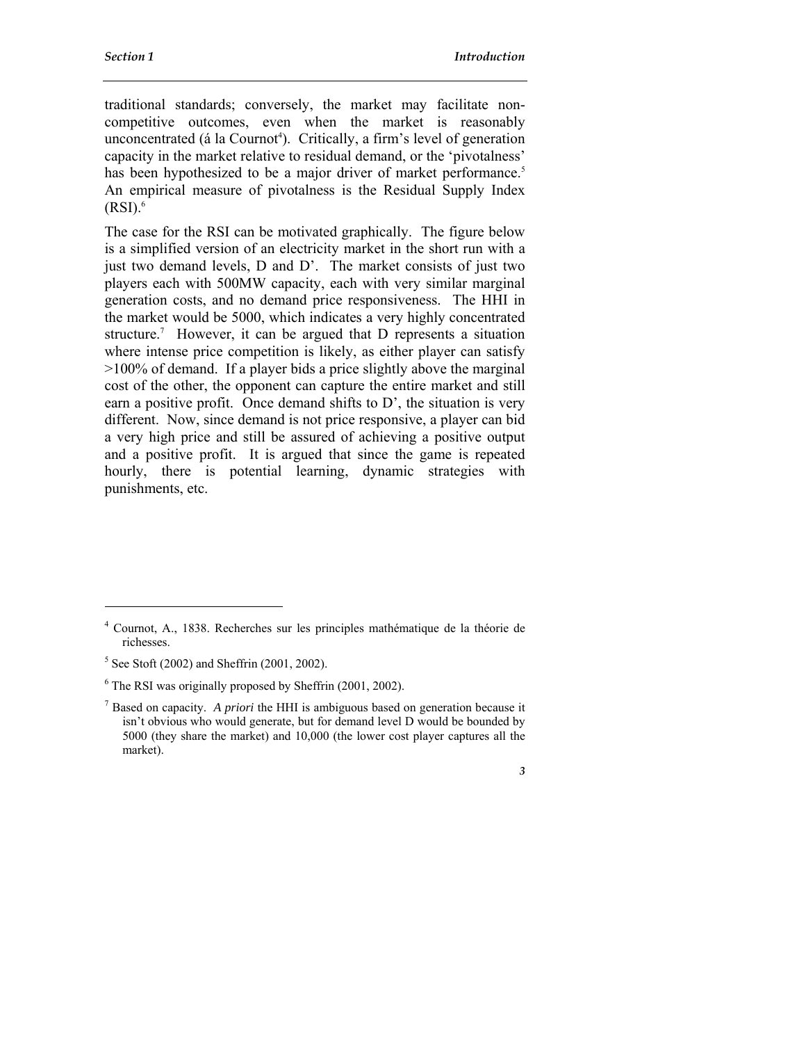traditional standards; conversely, the market may facilitate noncompetitive outcomes, even when the market is reasonably unconcentrated (á la Cournot<sup>4</sup>). Critically, a firm's level of generation capacity in the market relative to residual demand, or the 'pivotalness' has been hypothesized to be a major driver of market performance.<sup>5</sup> An empirical measure of pivotalness is the Residual Supply Index  $(RSI).<sup>6</sup>$ 

The case for the RSI can be motivated graphically. The figure below is a simplified version of an electricity market in the short run with a just two demand levels, D and D'. The market consists of just two players each with 500MW capacity, each with very similar marginal generation costs, and no demand price responsiveness. The HHI in the market would be 5000, which indicates a very highly concentrated structure.<sup>7</sup> However, it can be argued that D represents a situation where intense price competition is likely, as either player can satisfy >100% of demand. If a player bids a price slightly above the marginal cost of the other, the opponent can capture the entire market and still earn a positive profit. Once demand shifts to D', the situation is very different. Now, since demand is not price responsive, a player can bid a very high price and still be assured of achieving a positive output and a positive profit. It is argued that since the game is repeated hourly, there is potential learning, dynamic strategies with punishments, etc.

 $\overline{a}$ 

<sup>4</sup> Cournot, A., 1838. Recherches sur les principles mathématique de la théorie de richesses.

 $<sup>5</sup>$  See Stoft (2002) and Sheffrin (2001, 2002).</sup>

<sup>&</sup>lt;sup>6</sup> The RSI was originally proposed by Sheffrin (2001, 2002).

<sup>7</sup> Based on capacity. *A priori* the HHI is ambiguous based on generation because it isn't obvious who would generate, but for demand level D would be bounded by 5000 (they share the market) and 10,000 (the lower cost player captures all the market).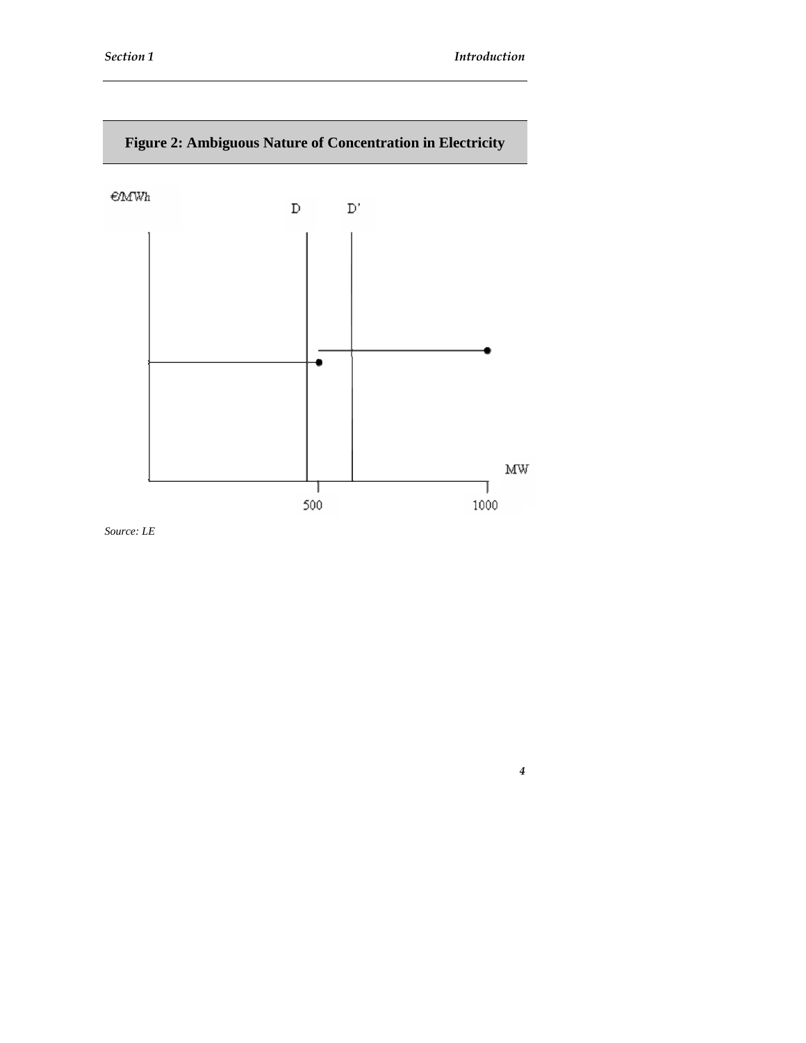

*Source: LE*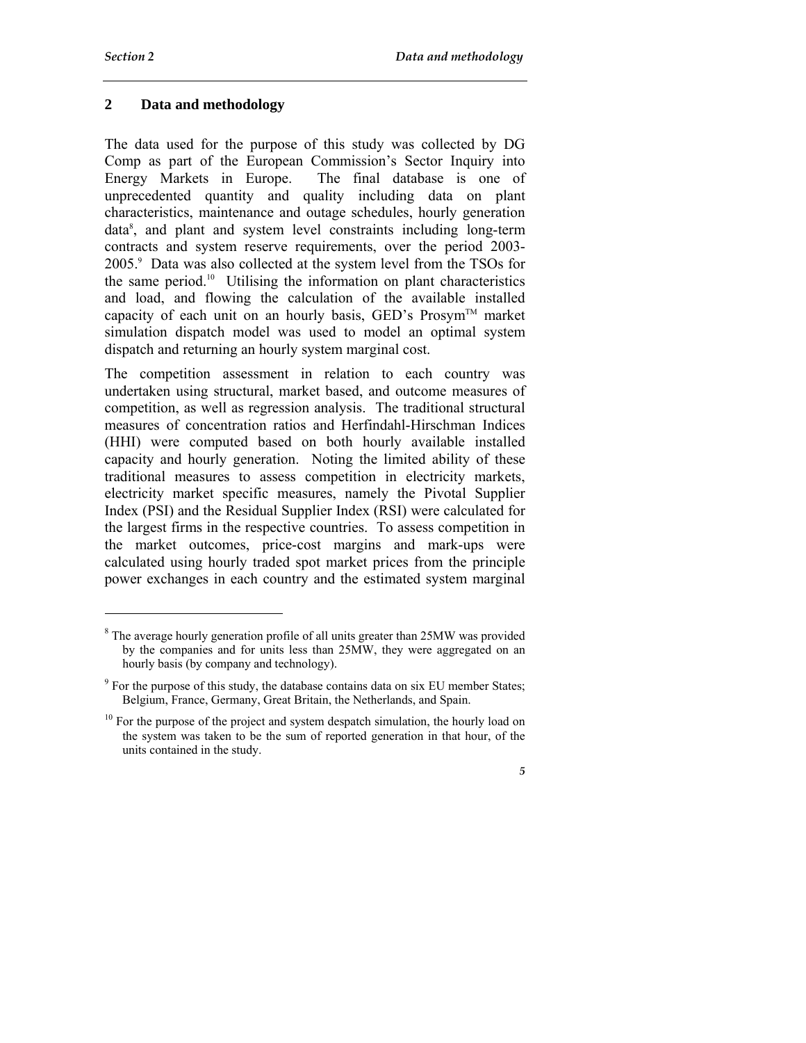$\overline{a}$ 

## **2 Data and methodology**

The data used for the purpose of this study was collected by DG Comp as part of the European Commission's Sector Inquiry into Energy Markets in Europe. The final database is one of unprecedented quantity and quality including data on plant characteristics, maintenance and outage schedules, hourly generation data8 , and plant and system level constraints including long-term contracts and system reserve requirements, over the period 2003- 2005.9 Data was also collected at the system level from the TSOs for the same period.<sup>10</sup> Utilising the information on plant characteristics and load, and flowing the calculation of the available installed capacity of each unit on an hourly basis, GED's Prosym<sup>TM</sup> market simulation dispatch model was used to model an optimal system dispatch and returning an hourly system marginal cost.

The competition assessment in relation to each country was undertaken using structural, market based, and outcome measures of competition, as well as regression analysis. The traditional structural measures of concentration ratios and Herfindahl-Hirschman Indices (HHI) were computed based on both hourly available installed capacity and hourly generation. Noting the limited ability of these traditional measures to assess competition in electricity markets, electricity market specific measures, namely the Pivotal Supplier Index (PSI) and the Residual Supplier Index (RSI) were calculated for the largest firms in the respective countries. To assess competition in the market outcomes, price-cost margins and mark-ups were calculated using hourly traded spot market prices from the principle power exchanges in each country and the estimated system marginal

<sup>&</sup>lt;sup>8</sup> The average hourly generation profile of all units greater than 25MW was provided by the companies and for units less than 25MW, they were aggregated on an hourly basis (by company and technology).

 $9^9$  For the purpose of this study, the database contains data on six EU member States; Belgium, France, Germany, Great Britain, the Netherlands, and Spain.

 $10$  For the purpose of the project and system despatch simulation, the hourly load on the system was taken to be the sum of reported generation in that hour, of the units contained in the study.

*<sup>5</sup>*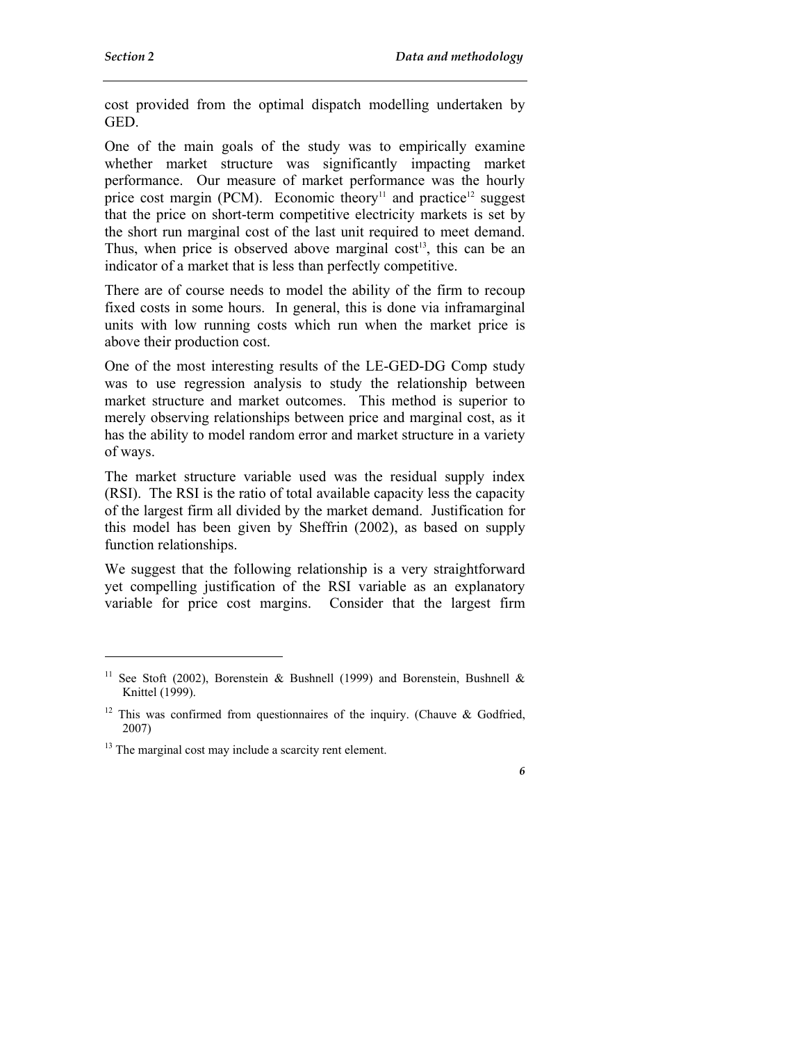$\overline{a}$ 

cost provided from the optimal dispatch modelling undertaken by GED.

One of the main goals of the study was to empirically examine whether market structure was significantly impacting market performance. Our measure of market performance was the hourly price cost margin (PCM). Economic theory<sup>11</sup> and practice<sup>12</sup> suggest that the price on short-term competitive electricity markets is set by the short run marginal cost of the last unit required to meet demand. Thus, when price is observed above marginal  $cost<sup>13</sup>$ , this can be an indicator of a market that is less than perfectly competitive.

There are of course needs to model the ability of the firm to recoup fixed costs in some hours. In general, this is done via inframarginal units with low running costs which run when the market price is above their production cost.

One of the most interesting results of the LE-GED-DG Comp study was to use regression analysis to study the relationship between market structure and market outcomes. This method is superior to merely observing relationships between price and marginal cost, as it has the ability to model random error and market structure in a variety of ways.

The market structure variable used was the residual supply index (RSI). The RSI is the ratio of total available capacity less the capacity of the largest firm all divided by the market demand. Justification for this model has been given by Sheffrin (2002), as based on supply function relationships.

We suggest that the following relationship is a very straightforward yet compelling justification of the RSI variable as an explanatory variable for price cost margins. Consider that the largest firm

<sup>&</sup>lt;sup>11</sup> See Stoft (2002), Borenstein & Bushnell (1999) and Borenstein, Bushnell & Knittel (1999).

<sup>&</sup>lt;sup>12</sup> This was confirmed from questionnaires of the inquiry. (Chauve & Godfried, 2007)

<sup>&</sup>lt;sup>13</sup> The marginal cost may include a scarcity rent element.

*<sup>6</sup>*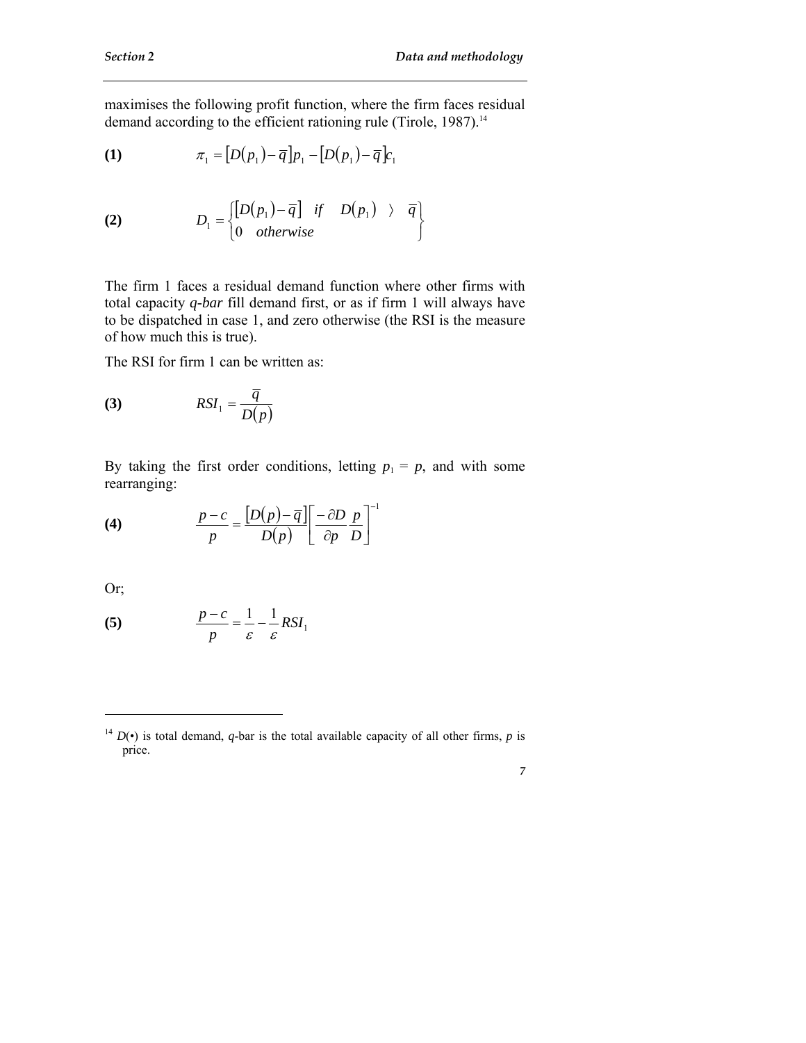maximises the following profit function, where the firm faces residual demand according to the efficient rationing rule (Tirole, 1987).<sup>14</sup>

(1) 
$$
\pi_1 = [D(p_1) - \overline{q}]p_1 - [D(p_1) - \overline{q}]c_1
$$

(2) 
$$
D_1 = \begin{cases} [D(p_1) - \overline{q}] & \text{if} \quad D(p_1) \rightarrow \overline{q} \\ 0 & \text{otherwise} \end{cases}
$$

The firm 1 faces a residual demand function where other firms with total capacity *q-bar* fill demand first, or as if firm 1 will always have to be dispatched in case 1, and zero otherwise (the RSI is the measure of how much this is true).

The RSI for firm 1 can be written as:

$$
(3) \t RSI_1 = \frac{\overline{q}}{D(p)}
$$

By taking the first order conditions, letting  $p_1 = p$ , and with some rearranging:

(4) 
$$
\frac{p-c}{p} = \frac{[D(p)-\overline{q}]}{D(p)} \left[\frac{-\partial D}{\partial p} \frac{p}{D}\right]^{-1}
$$

Or;

 $\overline{a}$ 

(5) 
$$
\frac{p-c}{p} = \frac{1}{\varepsilon} - \frac{1}{\varepsilon} RSI_1
$$

<sup>&</sup>lt;sup>14</sup>  $D(\cdot)$  is total demand, *q*-bar is the total available capacity of all other firms, *p* is price.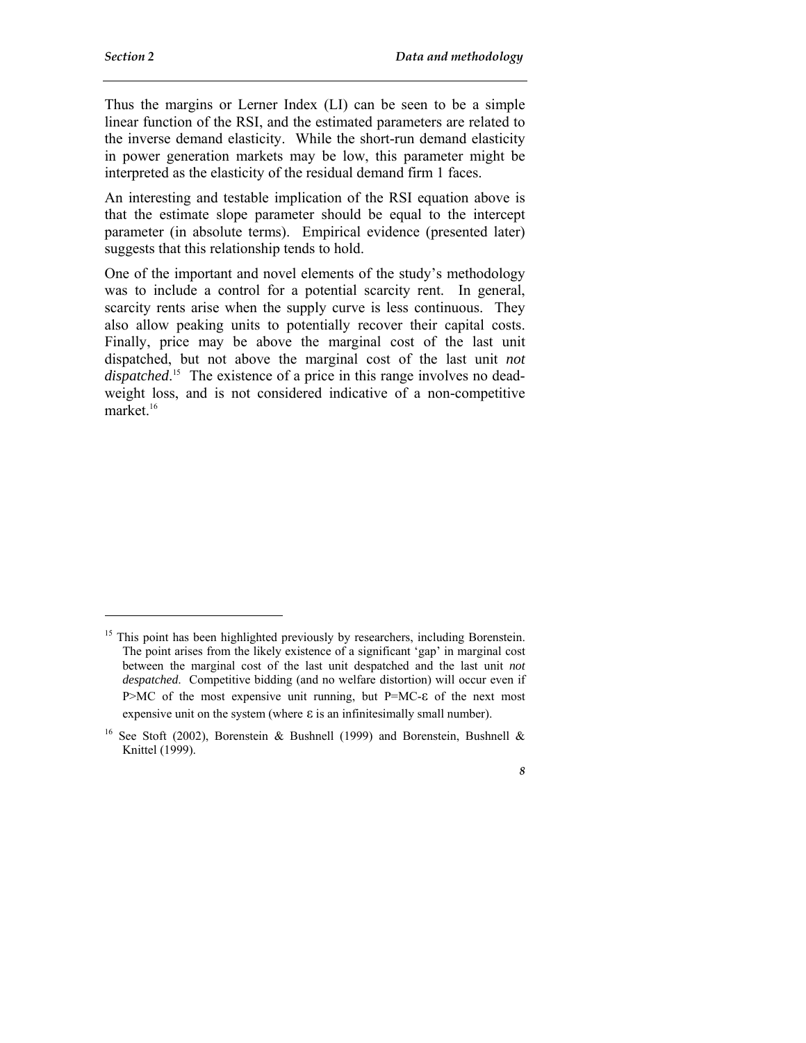$\overline{a}$ 

*8* 

Thus the margins or Lerner Index (LI) can be seen to be a simple linear function of the RSI, and the estimated parameters are related to the inverse demand elasticity. While the short-run demand elasticity in power generation markets may be low, this parameter might be interpreted as the elasticity of the residual demand firm 1 faces.

An interesting and testable implication of the RSI equation above is that the estimate slope parameter should be equal to the intercept parameter (in absolute terms). Empirical evidence (presented later) suggests that this relationship tends to hold.

One of the important and novel elements of the study's methodology was to include a control for a potential scarcity rent. In general, scarcity rents arise when the supply curve is less continuous. They also allow peaking units to potentially recover their capital costs. Finally, price may be above the marginal cost of the last unit dispatched, but not above the marginal cost of the last unit *not dispatched*. 15 The existence of a price in this range involves no deadweight loss, and is not considered indicative of a non-competitive market.<sup>16</sup>

<sup>&</sup>lt;sup>15</sup> This point has been highlighted previously by researchers, including Borenstein. The point arises from the likely existence of a significant 'gap' in marginal cost between the marginal cost of the last unit despatched and the last unit *not despatched*. Competitive bidding (and no welfare distortion) will occur even if P>MC of the most expensive unit running, but P=MC-ε of the next most expensive unit on the system (where  $\varepsilon$  is an infinitesimally small number).

<sup>&</sup>lt;sup>16</sup> See Stoft (2002), Borenstein & Bushnell (1999) and Borenstein, Bushnell & Knittel (1999).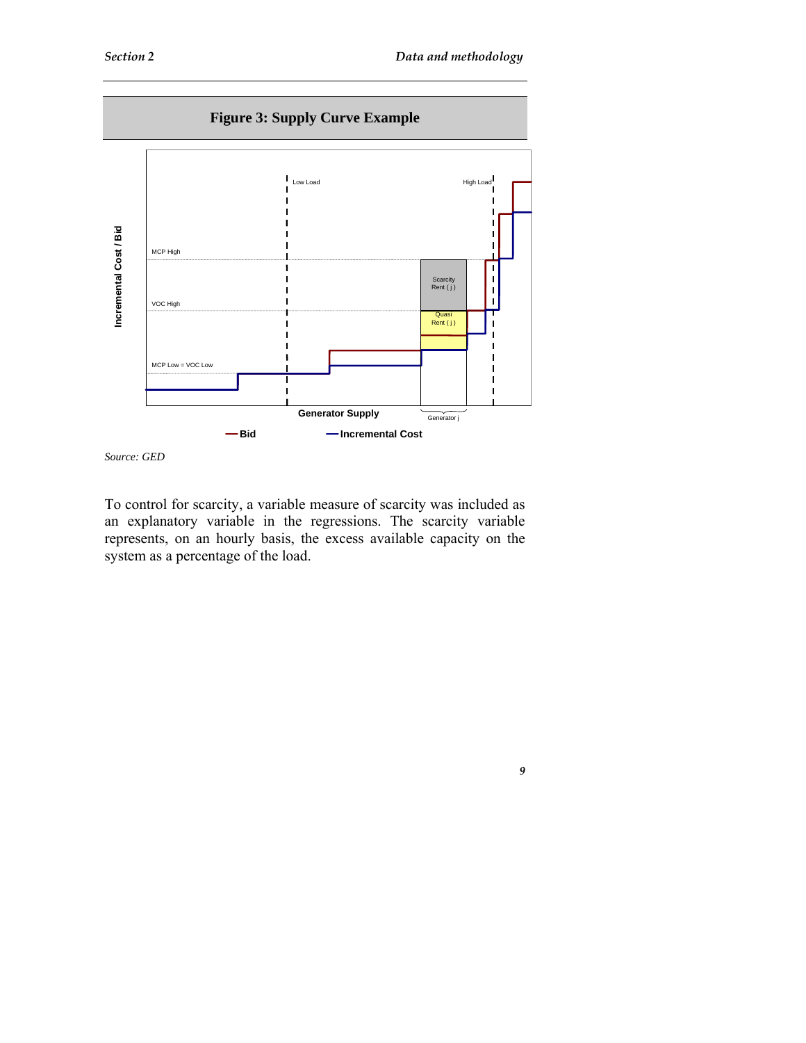



To control for scarcity, a variable measure of scarcity was included as an explanatory variable in the regressions. The scarcity variable represents, on an hourly basis, the excess available capacity on the system as a percentage of the load.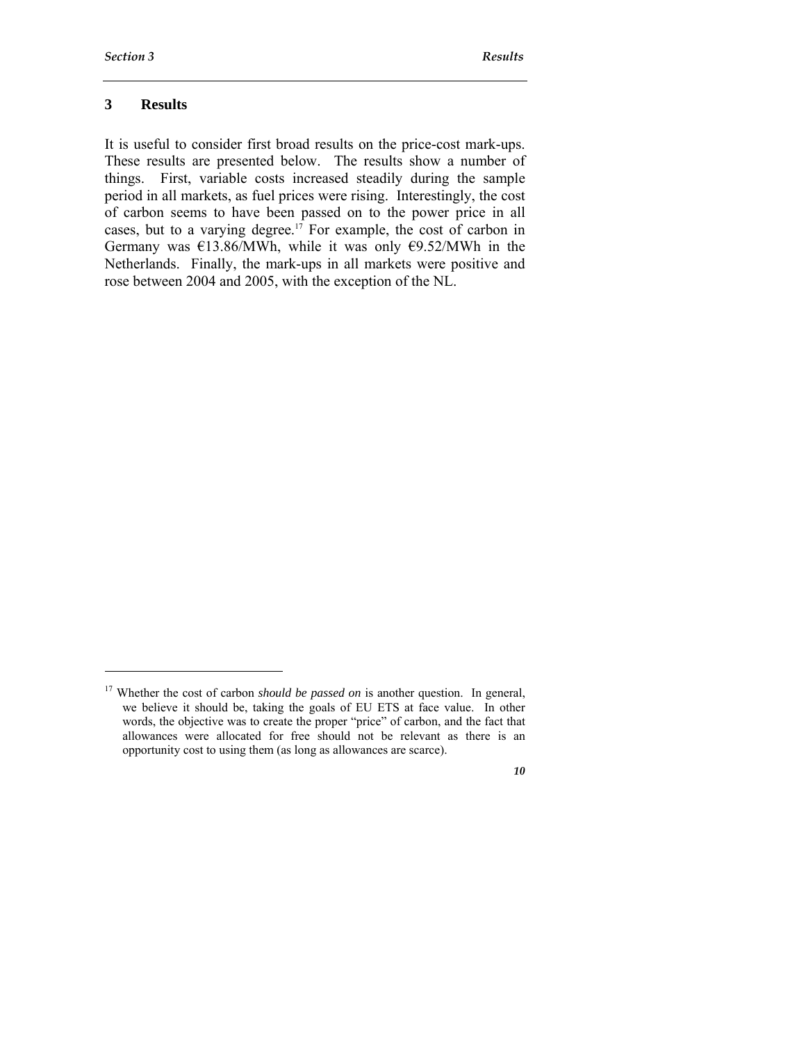l

*10* 

#### **3 Results**

It is useful to consider first broad results on the price-cost mark-ups. These results are presented below. The results show a number of things. First, variable costs increased steadily during the sample period in all markets, as fuel prices were rising. Interestingly, the cost of carbon seems to have been passed on to the power price in all cases, but to a varying degree.<sup>17</sup> For example, the cost of carbon in Germany was  $\epsilon$ 13.86/MWh, while it was only  $\epsilon$ 9.52/MWh in the Netherlands. Finally, the mark-ups in all markets were positive and rose between 2004 and 2005, with the exception of the NL.

<sup>&</sup>lt;sup>17</sup> Whether the cost of carbon *should be passed on* is another question. In general, we believe it should be, taking the goals of EU ETS at face value. In other words, the objective was to create the proper "price" of carbon, and the fact that allowances were allocated for free should not be relevant as there is an opportunity cost to using them (as long as allowances are scarce).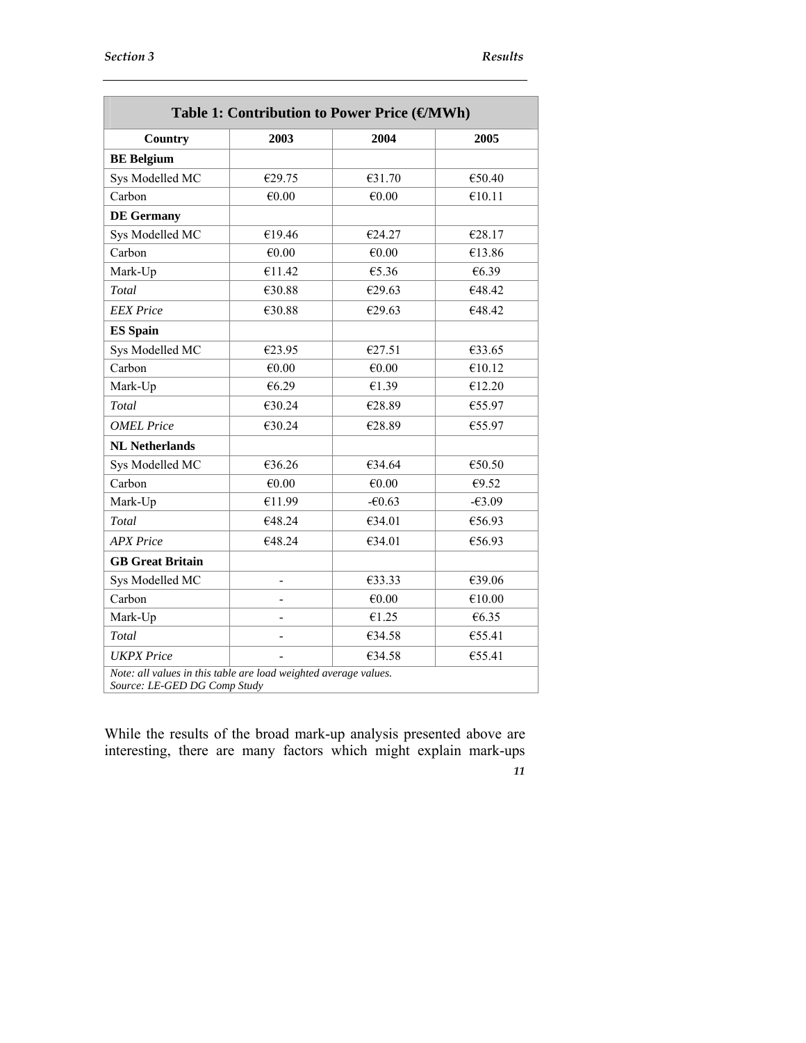| Table 1: Contribution to Power Price (€MWh)                                                      |                |          |          |  |  |  |
|--------------------------------------------------------------------------------------------------|----------------|----------|----------|--|--|--|
| Country                                                                                          | 2003           | 2004     | 2005     |  |  |  |
| <b>BE</b> Belgium                                                                                |                |          |          |  |  |  |
| Sys Modelled MC                                                                                  | €29.75         | €31.70   | €50.40   |  |  |  |
| Carbon                                                                                           | €0.00          | €0.00    | €10.11   |  |  |  |
| <b>DE Germany</b>                                                                                |                |          |          |  |  |  |
| Sys Modelled MC                                                                                  | €19.46         | €24.27   | €28.17   |  |  |  |
| Carbon                                                                                           | €0.00          | €0.00    | €13.86   |  |  |  |
| Mark-Up                                                                                          | €11.42         | €5.36    | €6.39    |  |  |  |
| Total                                                                                            | €30.88         | €29.63   | €48.42   |  |  |  |
| <b>EEX</b> Price                                                                                 | €30.88         | €29.63   | €48.42   |  |  |  |
| <b>ES Spain</b>                                                                                  |                |          |          |  |  |  |
| Sys Modelled MC                                                                                  | €23.95         | €27.51   | €33.65   |  |  |  |
| Carbon                                                                                           | €0.00          | €0.00    | €10.12   |  |  |  |
| Mark-Up                                                                                          | €6.29          | €1.39    | €12.20   |  |  |  |
| Total                                                                                            | €30.24         | €28.89   | €55.97   |  |  |  |
| <b>OMEL Price</b>                                                                                | €30.24         | €28.89   | €55.97   |  |  |  |
| <b>NL Netherlands</b>                                                                            |                |          |          |  |  |  |
| Sys Modelled MC                                                                                  | €36.26         | €34.64   | €50.50   |  |  |  |
| Carbon                                                                                           | €0.00          | €0.00    | €9.52    |  |  |  |
| Mark-Up                                                                                          | €11.99         | $-60.63$ | $-63.09$ |  |  |  |
| Total                                                                                            | €48.24         | €34.01   | €56.93   |  |  |  |
| <b>APX</b> Price                                                                                 | €48.24         | €34.01   | €56.93   |  |  |  |
| <b>GB</b> Great Britain                                                                          |                |          |          |  |  |  |
| Sys Modelled MC                                                                                  | $\overline{a}$ | €33.33   | €39.06   |  |  |  |
| Carbon                                                                                           | -              | €0.00    | €10.00   |  |  |  |
| Mark-Up                                                                                          |                | €1.25    | €6.35    |  |  |  |
| Total                                                                                            |                | €34.58   | €55.41   |  |  |  |
| <b>UKPX</b> Price                                                                                |                | €34.58   | €55.41   |  |  |  |
| Note: all values in this table are load weighted average values.<br>Source: LE-GED DG Comp Study |                |          |          |  |  |  |

*11*  While the results of the broad mark-up analysis presented above are interesting, there are many factors which might explain mark-ups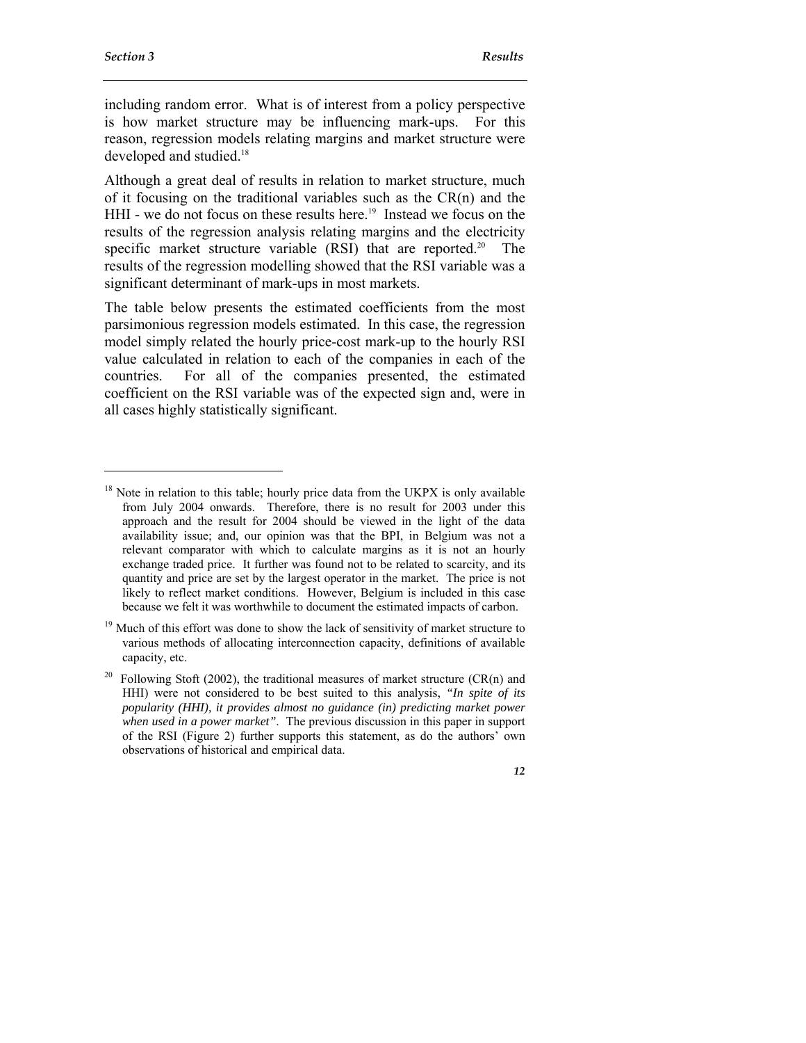$\ddot{ }$ 

including random error. What is of interest from a policy perspective is how market structure may be influencing mark-ups. For this reason, regression models relating margins and market structure were developed and studied.<sup>18</sup>

Although a great deal of results in relation to market structure, much of it focusing on the traditional variables such as the CR(n) and the HHI - we do not focus on these results here.<sup>19</sup> Instead we focus on the results of the regression analysis relating margins and the electricity specific market structure variable  $(RSI)$  that are reported.<sup>20</sup> The results of the regression modelling showed that the RSI variable was a significant determinant of mark-ups in most markets.

The table below presents the estimated coefficients from the most parsimonious regression models estimated. In this case, the regression model simply related the hourly price-cost mark-up to the hourly RSI value calculated in relation to each of the companies in each of the countries. For all of the companies presented, the estimated coefficient on the RSI variable was of the expected sign and, were in all cases highly statistically significant.

 $18$  Note in relation to this table; hourly price data from the UKPX is only available from July 2004 onwards. Therefore, there is no result for 2003 under this approach and the result for 2004 should be viewed in the light of the data availability issue; and, our opinion was that the BPI, in Belgium was not a relevant comparator with which to calculate margins as it is not an hourly exchange traded price. It further was found not to be related to scarcity, and its quantity and price are set by the largest operator in the market. The price is not likely to reflect market conditions. However, Belgium is included in this case because we felt it was worthwhile to document the estimated impacts of carbon.

Much of this effort was done to show the lack of sensitivity of market structure to various methods of allocating interconnection capacity, definitions of available capacity, etc.

<sup>&</sup>lt;sup>20</sup> Following Stoft (2002), the traditional measures of market structure (CR(n) and HHI) were not considered to be best suited to this analysis, *"In spite of its popularity (HHI), it provides almost no guidance (in) predicting market power when used in a power market"*. The previous discussion in this paper in support of the RSI (Figure 2) further supports this statement, as do the authors' own observations of historical and empirical data.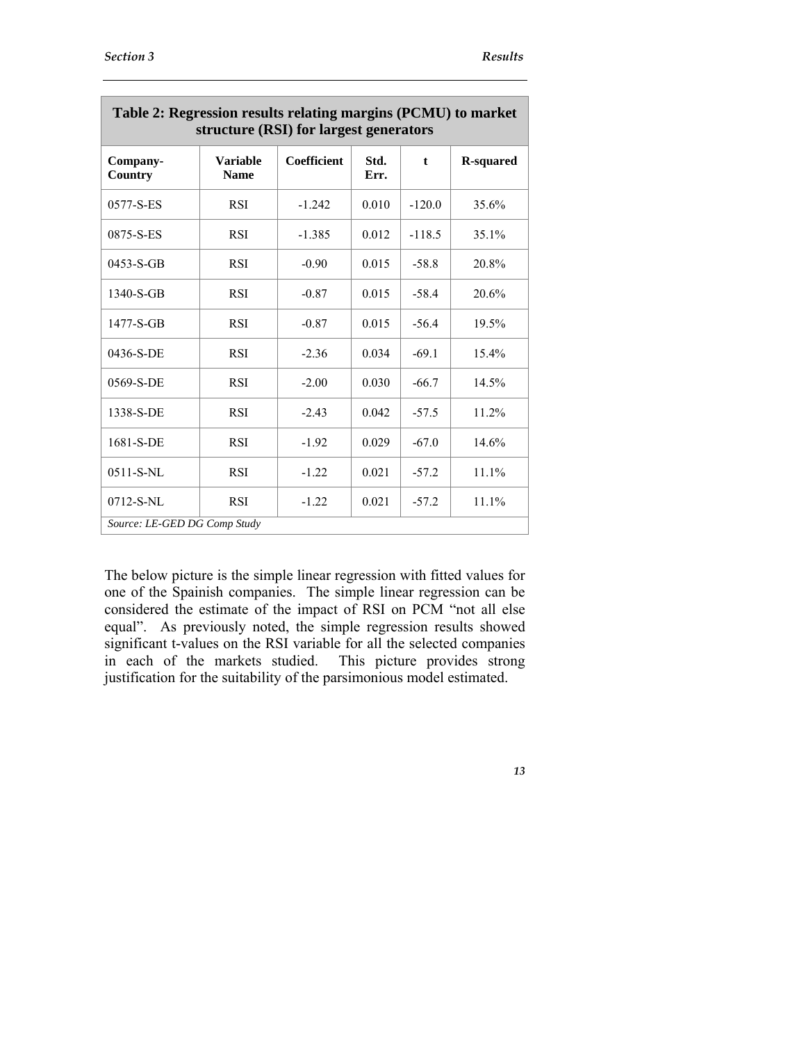| Table 2. Regi essibil results relating margins (1 CMC) to market<br>structure (RSI) for largest generators |                                |             |              |             |                  |
|------------------------------------------------------------------------------------------------------------|--------------------------------|-------------|--------------|-------------|------------------|
| Company-<br>Country                                                                                        | <b>Variable</b><br><b>Name</b> | Coefficient | Std.<br>Err. | $\mathbf t$ | <b>R-squared</b> |
| 0577-S-ES                                                                                                  | <b>RSI</b>                     | $-1.242$    | 0.010        | $-120.0$    | 35.6%            |
| 0875-S-ES                                                                                                  | <b>RSI</b>                     | $-1.385$    | 0.012        | $-118.5$    | 35.1%            |
| $0453-S-GB$                                                                                                | <b>RSI</b>                     | $-0.90$     | 0.015        | $-58.8$     | 20.8%            |
| 1340-S-GB                                                                                                  | <b>RSI</b>                     | $-0.87$     | 0.015        | $-58.4$     | 20.6%            |
| 1477-S-GB                                                                                                  | <b>RSI</b>                     | $-0.87$     | 0.015        | $-56.4$     | 19.5%            |
| 0436-S-DE                                                                                                  | <b>RSI</b>                     | $-2.36$     | 0.034        | $-69.1$     | 15.4%            |
| 0569-S-DE                                                                                                  | <b>RSI</b>                     | $-2.00$     | 0.030        | $-66.7$     | 14.5%            |
| 1338-S-DE                                                                                                  | <b>RSI</b>                     | $-2.43$     | 0.042        | $-57.5$     | 11.2%            |
| 1681-S-DE                                                                                                  | <b>RSI</b>                     | $-1.92$     | 0.029        | $-67.0$     | 14.6%            |
| $0511 - S-NL$                                                                                              | <b>RSI</b>                     | $-1.22$     | 0.021        | $-57.2$     | 11.1%            |
| 0712-S-NL                                                                                                  | <b>RSI</b>                     | $-1.22$     | 0.021        | $-57.2$     | 11.1%            |
| Source: LE-GED DG Comp Study                                                                               |                                |             |              |             |                  |

| Table 2: Regression results relating margins (PCMU) to market<br>structure (RSI) for largest generators |                         |             |             |  |                  |  |  |
|---------------------------------------------------------------------------------------------------------|-------------------------|-------------|-------------|--|------------------|--|--|
| Company-<br>$C_{\text{}}$                                                                               | <b>Variable</b><br>Nome | Coefficient | Std.<br>Frr |  | <b>R-squared</b> |  |  |

The below picture is the simple linear regression with fitted values for one of the Spainish companies. The simple linear regression can be considered the estimate of the impact of RSI on PCM "not all else equal". As previously noted, the simple regression results showed significant t-values on the RSI variable for all the selected companies in each of the markets studied. This picture provides strong justification for the suitability of the parsimonious model estimated.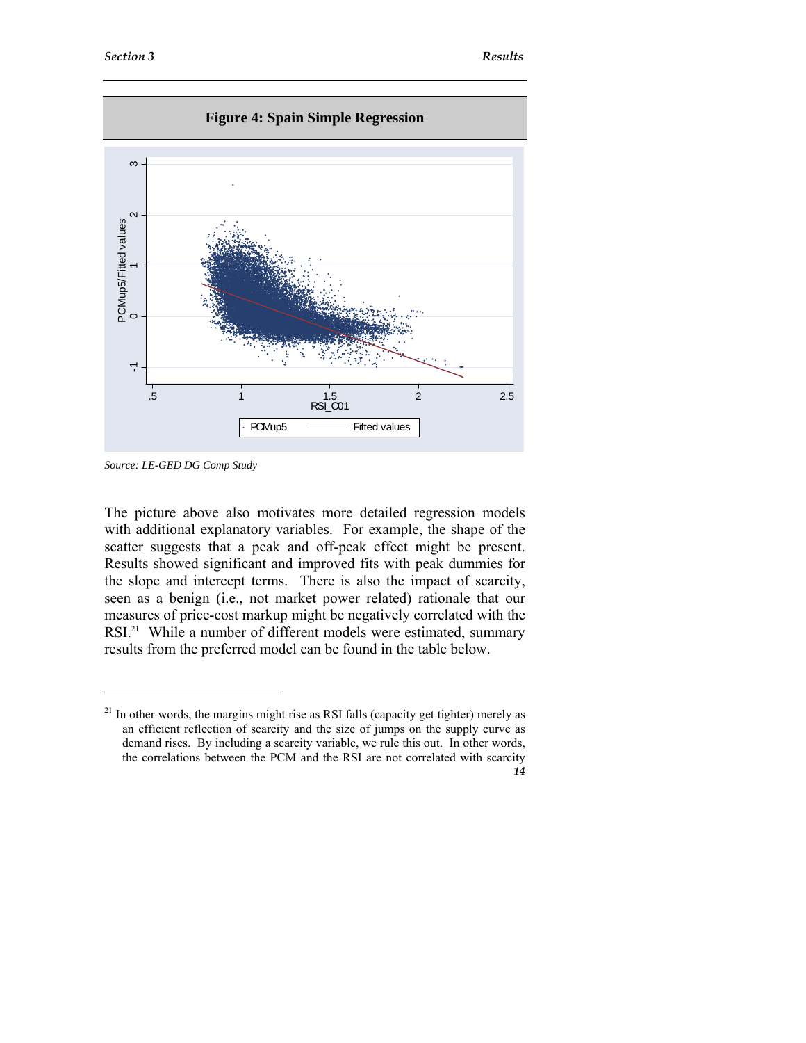

*Source: LE-GED DG Comp Study* 

 $\ddot{ }$ 

The picture above also motivates more detailed regression models with additional explanatory variables. For example, the shape of the scatter suggests that a peak and off-peak effect might be present. Results showed significant and improved fits with peak dummies for the slope and intercept terms. There is also the impact of scarcity, seen as a benign (i.e., not market power related) rationale that our measures of price-cost markup might be negatively correlated with the RSI.<sup>21</sup> While a number of different models were estimated, summary results from the preferred model can be found in the table below.

*<sup>14</sup>*  <sup>21</sup> In other words, the margins might rise as RSI falls (capacity get tighter) merely as an efficient reflection of scarcity and the size of jumps on the supply curve as demand rises. By including a scarcity variable, we rule this out. In other words, the correlations between the PCM and the RSI are not correlated with scarcity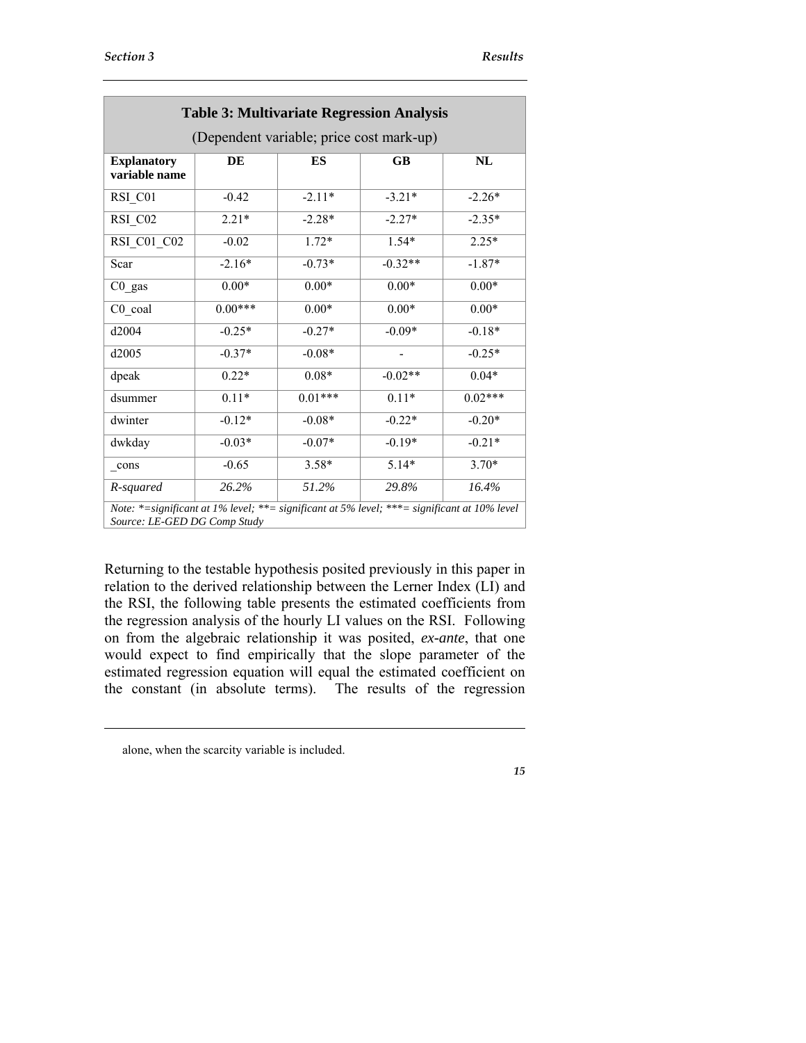| <b>Table 3: Multivariate Regression Analysis</b><br>(Dependent variable; price cost mark-up)                                 |           |           |           |           |  |  |
|------------------------------------------------------------------------------------------------------------------------------|-----------|-----------|-----------|-----------|--|--|
| <b>Explanatory</b><br>variable name                                                                                          | DE        | ES        | GB        | <b>NL</b> |  |  |
| RSI_C01                                                                                                                      | $-0.42$   | $-2.11*$  | $-3.21*$  | $-2.26*$  |  |  |
| RSI_C02                                                                                                                      | $2.21*$   | $-2.28*$  | $-2.27*$  | $-2.35*$  |  |  |
| RSI C01 C02                                                                                                                  | $-0.02$   | $1.72*$   | $1.54*$   | $2.25*$   |  |  |
| Scar                                                                                                                         | $-2.16*$  | $-0.73*$  | $-0.32**$ | $-1.87*$  |  |  |
| $CO$ _gas                                                                                                                    | $0.00*$   | $0.00*$   | $0.00*$   | $0.00*$   |  |  |
| $C0$ coal                                                                                                                    | $0.00***$ | $0.00*$   | $0.00*$   | $0.00*$   |  |  |
| d2004                                                                                                                        | $-0.25*$  | $-0.27*$  | $-0.09*$  | $-0.18*$  |  |  |
| d2005                                                                                                                        | $-0.37*$  | $-0.08*$  |           | $-0.25*$  |  |  |
| dpeak                                                                                                                        | $0.22*$   | $0.08*$   | $-0.02**$ | $0.04*$   |  |  |
| dsummer                                                                                                                      | $0.11*$   | $0.01***$ | $0.11*$   | $0.02***$ |  |  |
| dwinter                                                                                                                      | $-0.12*$  | $-0.08*$  | $-0.22*$  | $-0.20*$  |  |  |
| dwkday                                                                                                                       | $-0.03*$  | $-0.07*$  | $-0.19*$  | $-0.21*$  |  |  |
| cons                                                                                                                         | $-0.65$   | $3.58*$   | $5.14*$   | $3.70*$   |  |  |
| R-squared                                                                                                                    | 26.2%     | 51.2%     | 29.8%     | 16.4%     |  |  |
| Note: *= significant at 1% level; **= significant at 5% level; ***= significant at 10% level<br>Source: LE-GED DG Comp Study |           |           |           |           |  |  |

Returning to the testable hypothesis posited previously in this paper in relation to the derived relationship between the Lerner Index (LI) and the RSI, the following table presents the estimated coefficients from the regression analysis of the hourly LI values on the RSI. Following on from the algebraic relationship it was posited, *ex-ante*, that one would expect to find empirically that the slope parameter of the estimated regression equation will equal the estimated coefficient on the constant (in absolute terms). The results of the regression

-

alone, when the scarcity variable is included.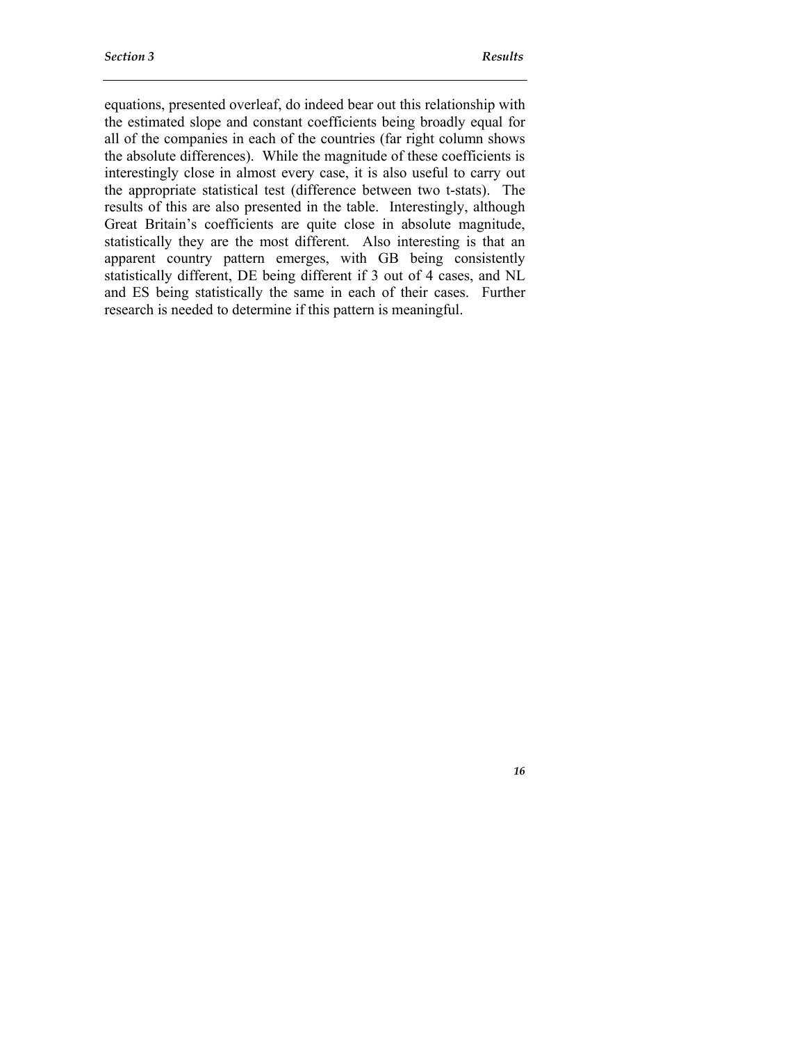*16* 

equations, presented overleaf, do indeed bear out this relationship with the estimated slope and constant coefficients being broadly equal for all of the companies in each of the countries (far right column shows the absolute differences). While the magnitude of these coefficients is interestingly close in almost every case, it is also useful to carry out the appropriate statistical test (difference between two t-stats). The results of this are also presented in the table. Interestingly, although Great Britain's coefficients are quite close in absolute magnitude, statistically they are the most different. Also interesting is that an apparent country pattern emerges, with GB being consistently statistically different, DE being different if 3 out of 4 cases, and NL and ES being statistically the same in each of their cases. Further research is needed to determine if this pattern is meaningful.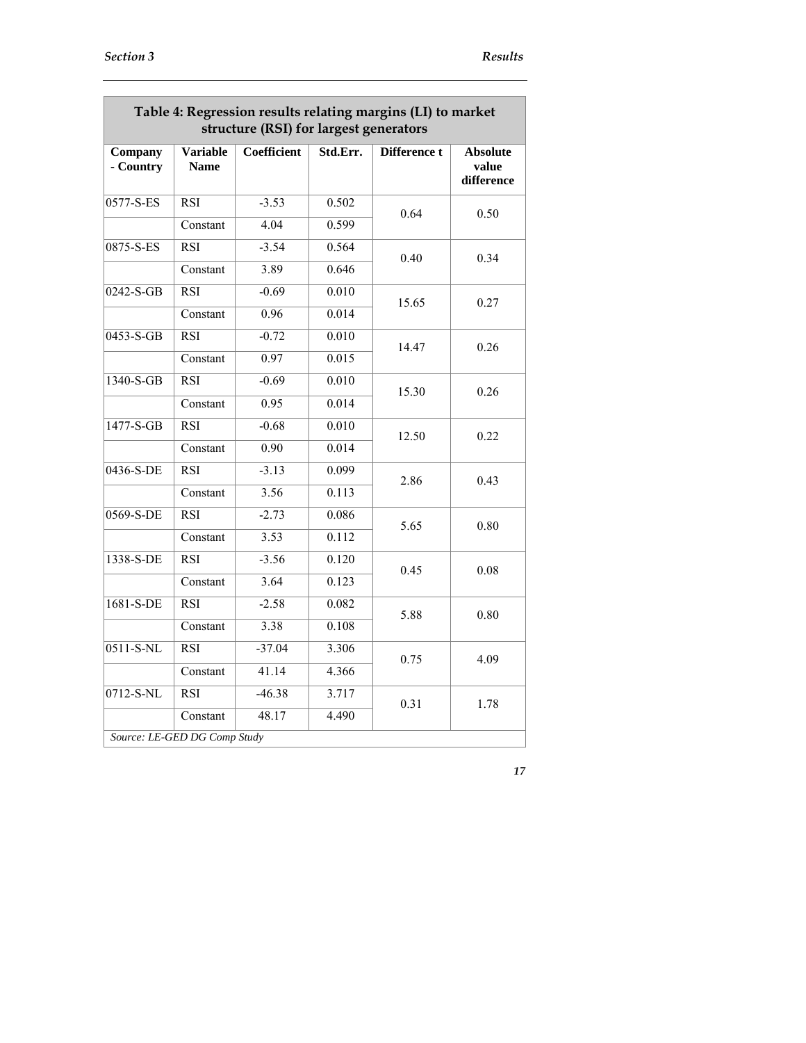| Company<br>- Country | <b>Variable</b><br><b>Name</b> | <b>Coefficient</b> | Std.Err. | Difference t | <b>Absolute</b><br>value |
|----------------------|--------------------------------|--------------------|----------|--------------|--------------------------|
|                      |                                |                    |          |              | difference               |
| 0577-S-ES            | <b>RSI</b>                     | $-3.53$            | 0.502    | 0.64         | 0.50                     |
|                      | Constant                       | 4.04               | 0.599    |              |                          |
| 0875-S-ES            | <b>RSI</b>                     | $-3.54$            | 0.564    | 0.40         | 0.34                     |
|                      | Constant                       | 3.89               | 0.646    |              |                          |
| $0242-S-GB$          | $\overline{RSI}$               | $-0.69$            | 0.010    |              | 0.27                     |
|                      | Constant                       | 0.96               | 0.014    | 15.65        |                          |
| 0453-S-GB            | <b>RSI</b>                     | $-0.72$            | 0.010    |              | 0.26                     |
|                      | Constant                       | 0.97               | 0.015    | 14.47        |                          |
| 1340-S-GB            | <b>RSI</b>                     | $-0.69$            | 0.010    | 15.30        | 0.26                     |
|                      | Constant                       | 0.95               | 0.014    |              |                          |
| $1477-S-GB$          | $\overline{RSI}$               | $-0.68$            | 0.010    | 12.50        | 0.22                     |
|                      | Constant                       | 0.90               | 0.014    |              |                          |
| $0436 - S-DE$        | <b>RSI</b>                     | $-3.13$            | 0.099    | 2.86         | 0.43                     |
|                      | Constant                       | 3.56               | 0.113    |              |                          |
| $0569-S-DE$          | $\overline{RSI}$               | $-2.73$            | 0.086    | 5.65         | 0.80                     |
|                      | Constant                       | 3.53               | 0.112    |              |                          |
| 1338-S-DE            | <b>RSI</b>                     | $-3.56$            | 0.120    | 0.45         | 0.08                     |
|                      | Constant                       | 3.64               | 0.123    |              |                          |
| 1681-S-DE            | <b>RSI</b>                     | $-2.58$            | 0.082    | 5.88         | 0.80                     |
|                      | Constant                       | 3.38               | 0.108    |              |                          |
| $0511-S-NL$          | <b>RSI</b>                     | $-37.04$           | 3.306    | 0.75         | 4.09                     |
|                      | Constant                       | 41.14              | 4.366    |              |                          |
| $0712-S-NL$          | $\overline{RSI}$               | $-46.38$           | 3.717    | 0.31         | 1.78                     |
|                      | Constant                       | 48.17              | 4.490    |              |                          |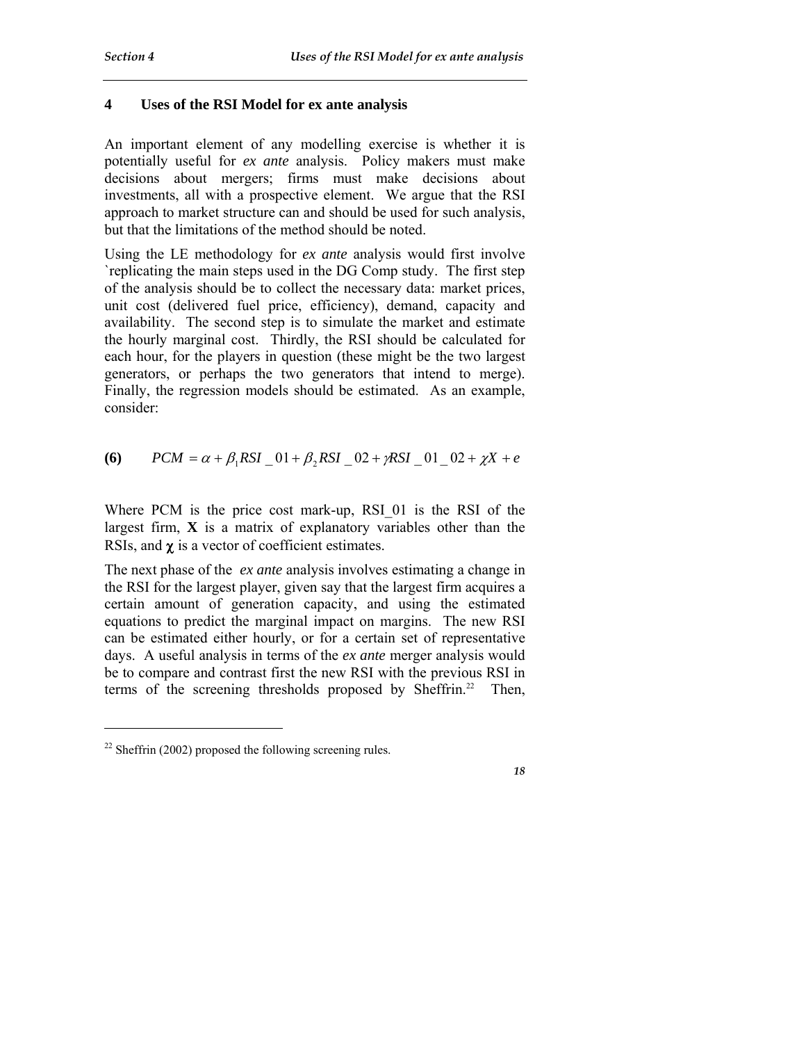# **4 Uses of the RSI Model for ex ante analysis**

An important element of any modelling exercise is whether it is potentially useful for *ex ante* analysis. Policy makers must make decisions about mergers; firms must make decisions about investments, all with a prospective element. We argue that the RSI approach to market structure can and should be used for such analysis, but that the limitations of the method should be noted.

Using the LE methodology for *ex ante* analysis would first involve `replicating the main steps used in the DG Comp study. The first step of the analysis should be to collect the necessary data: market prices, unit cost (delivered fuel price, efficiency), demand, capacity and availability. The second step is to simulate the market and estimate the hourly marginal cost. Thirdly, the RSI should be calculated for each hour, for the players in question (these might be the two largest generators, or perhaps the two generators that intend to merge). Finally, the regression models should be estimated. As an example, consider:

(6) 
$$
PCM = \alpha + \beta_1 RSI \_ 01 + \beta_2 RSI \_ 02 + \gamma RSI \_ 01 \_ 02 + \gamma X + e
$$

Where PCM is the price cost mark-up, RSI 01 is the RSI of the largest firm, **X** is a matrix of explanatory variables other than the RSIs, and χ is a vector of coefficient estimates.

The next phase of the *ex ante* analysis involves estimating a change in the RSI for the largest player, given say that the largest firm acquires a certain amount of generation capacity, and using the estimated equations to predict the marginal impact on margins. The new RSI can be estimated either hourly, or for a certain set of representative days. A useful analysis in terms of the *ex ante* merger analysis would be to compare and contrast first the new RSI with the previous RSI in terms of the screening thresholds proposed by Sheffrin.<sup>22</sup> Then,

-

 $22$  Sheffrin (2002) proposed the following screening rules.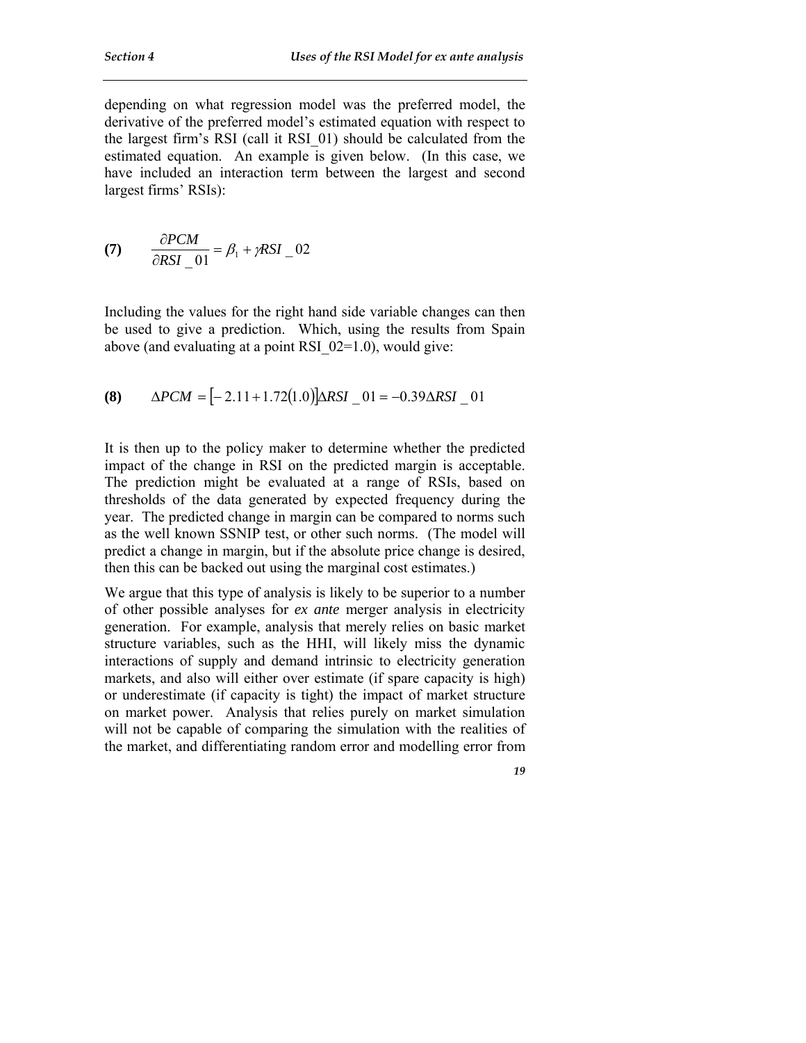depending on what regression model was the preferred model, the derivative of the preferred model's estimated equation with respect to the largest firm's RSI (call it RSI\_01) should be calculated from the estimated equation. An example is given below. (In this case, we have included an interaction term between the largest and second largest firms' RSIs):

$$
(7) \qquad \frac{\partial PCM}{\partial RSI \_01} = \beta_1 + \gamma RSI \_02
$$

Including the values for the right hand side variable changes can then be used to give a prediction. Which, using the results from Spain above (and evaluating at a point RSI  $02=1.0$ ), would give:

$$
(8) \qquad \Delta PCM = [-2.11 + 1.72(1.0)] \Delta RSI \quad 01 = -0.39 \Delta RSI \quad 01
$$

It is then up to the policy maker to determine whether the predicted impact of the change in RSI on the predicted margin is acceptable. The prediction might be evaluated at a range of RSIs, based on thresholds of the data generated by expected frequency during the year. The predicted change in margin can be compared to norms such as the well known SSNIP test, or other such norms. (The model will predict a change in margin, but if the absolute price change is desired, then this can be backed out using the marginal cost estimates.)

We argue that this type of analysis is likely to be superior to a number of other possible analyses for *ex ante* merger analysis in electricity generation. For example, analysis that merely relies on basic market structure variables, such as the HHI, will likely miss the dynamic interactions of supply and demand intrinsic to electricity generation markets, and also will either over estimate (if spare capacity is high) or underestimate (if capacity is tight) the impact of market structure on market power. Analysis that relies purely on market simulation will not be capable of comparing the simulation with the realities of the market, and differentiating random error and modelling error from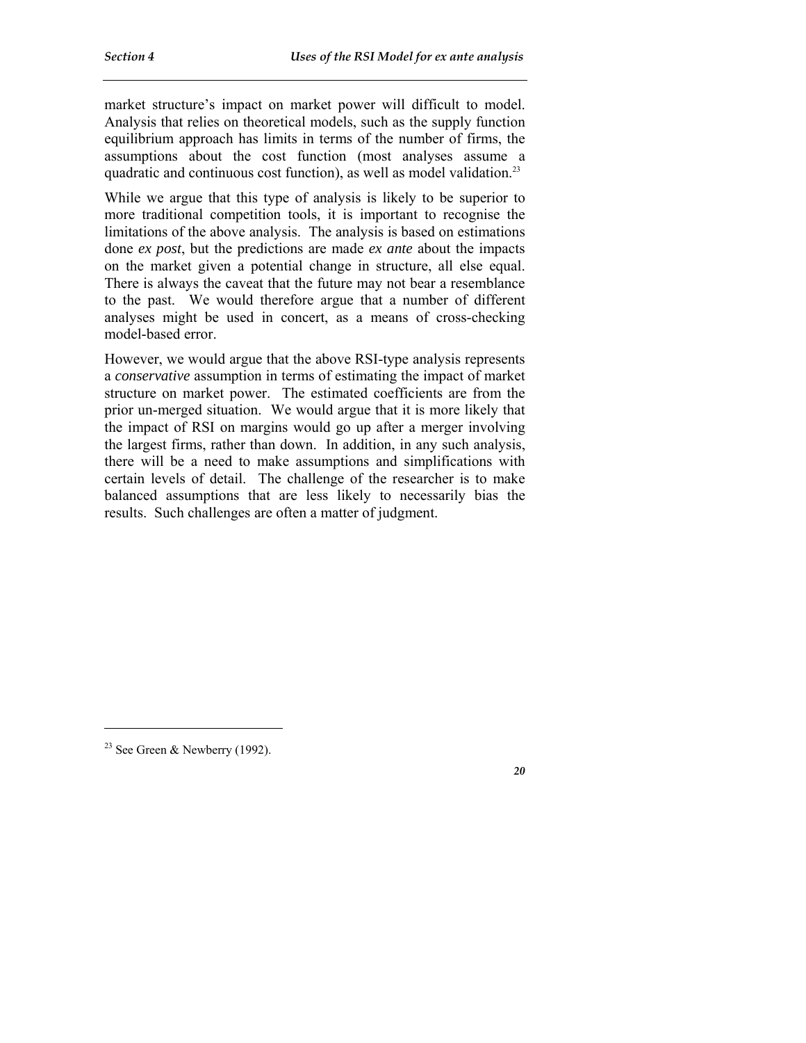market structure's impact on market power will difficult to model. Analysis that relies on theoretical models, such as the supply function equilibrium approach has limits in terms of the number of firms, the assumptions about the cost function (most analyses assume a quadratic and continuous cost function), as well as model validation.23

While we argue that this type of analysis is likely to be superior to more traditional competition tools, it is important to recognise the limitations of the above analysis. The analysis is based on estimations done *ex post*, but the predictions are made *ex ante* about the impacts on the market given a potential change in structure, all else equal. There is always the caveat that the future may not bear a resemblance to the past. We would therefore argue that a number of different analyses might be used in concert, as a means of cross-checking model-based error.

However, we would argue that the above RSI-type analysis represents a *conservative* assumption in terms of estimating the impact of market structure on market power. The estimated coefficients are from the prior un-merged situation. We would argue that it is more likely that the impact of RSI on margins would go up after a merger involving the largest firms, rather than down. In addition, in any such analysis, there will be a need to make assumptions and simplifications with certain levels of detail. The challenge of the researcher is to make balanced assumptions that are less likely to necessarily bias the results. Such challenges are often a matter of judgment.

-

<sup>&</sup>lt;sup>23</sup> See Green & Newberry (1992).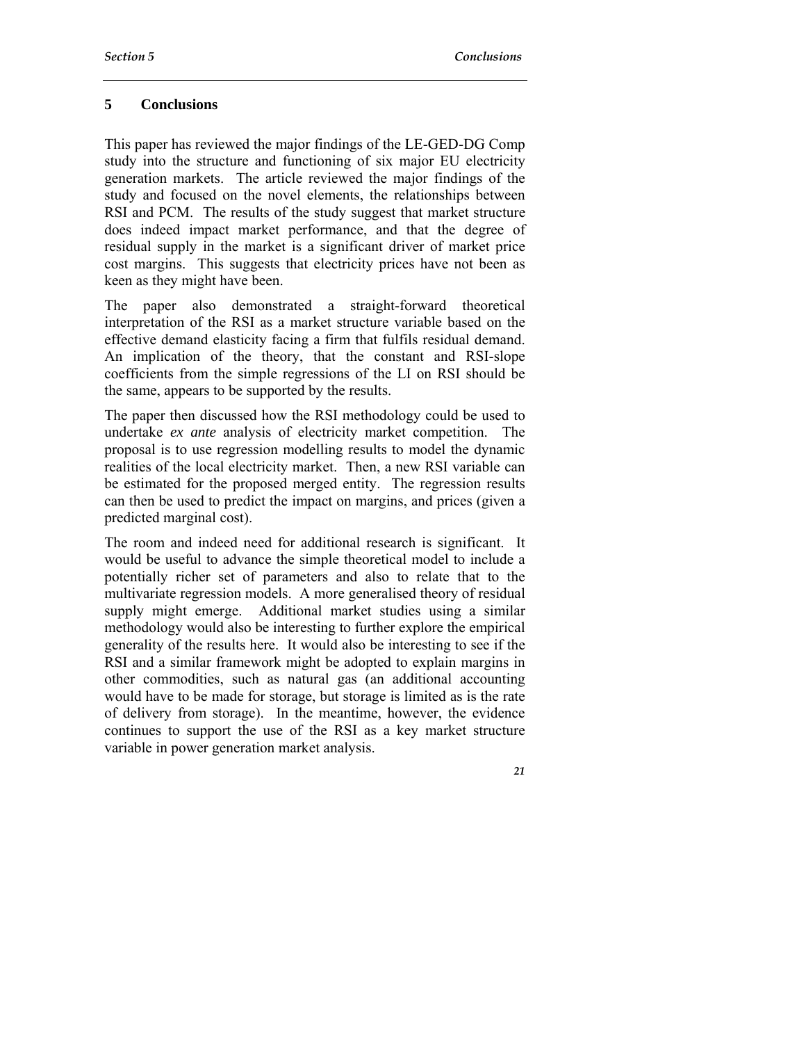### **5 Conclusions**

This paper has reviewed the major findings of the LE-GED-DG Comp study into the structure and functioning of six major EU electricity generation markets. The article reviewed the major findings of the study and focused on the novel elements, the relationships between RSI and PCM. The results of the study suggest that market structure does indeed impact market performance, and that the degree of residual supply in the market is a significant driver of market price cost margins. This suggests that electricity prices have not been as keen as they might have been.

The paper also demonstrated a straight-forward theoretical interpretation of the RSI as a market structure variable based on the effective demand elasticity facing a firm that fulfils residual demand. An implication of the theory, that the constant and RSI-slope coefficients from the simple regressions of the LI on RSI should be the same, appears to be supported by the results.

The paper then discussed how the RSI methodology could be used to undertake *ex ante* analysis of electricity market competition. The proposal is to use regression modelling results to model the dynamic realities of the local electricity market. Then, a new RSI variable can be estimated for the proposed merged entity. The regression results can then be used to predict the impact on margins, and prices (given a predicted marginal cost).

The room and indeed need for additional research is significant. It would be useful to advance the simple theoretical model to include a potentially richer set of parameters and also to relate that to the multivariate regression models. A more generalised theory of residual supply might emerge. Additional market studies using a similar methodology would also be interesting to further explore the empirical generality of the results here. It would also be interesting to see if the RSI and a similar framework might be adopted to explain margins in other commodities, such as natural gas (an additional accounting would have to be made for storage, but storage is limited as is the rate of delivery from storage). In the meantime, however, the evidence continues to support the use of the RSI as a key market structure variable in power generation market analysis.